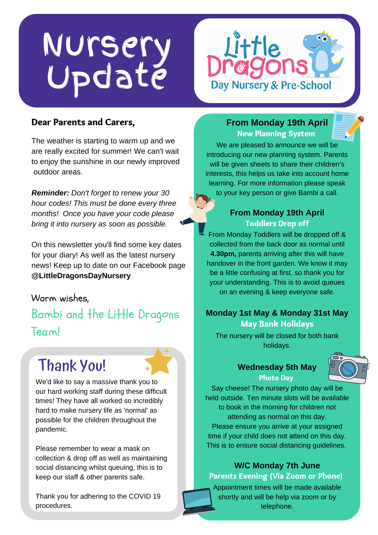# Nursery Update



#### Dear Parents and Carers,

The weather is starting to warm up and we are really excited for summer! We can't wait to enjoy the sunshine in our newly improved outdoor areas.

*Reminder: Don't forget to renew your 30 hour codes! This must be done every three months! Once you have your code please bring it into nursery as soon as possible.*

On this newsletter you'll find some key dates for your diary! As well as the latest nursery news! Keep up to date on our Facebook page **@LittleDragonsDayNursery**

Warm wishes,

Bambi and the Little Dragons Team!

### Thank You!



We'd like to say a massive thank you to our hard working staff during these difficult times! They have all worked so incredibly hard to make nursery life as 'normal' as possible for the children throughout the pandemic.

Please remember to wear a mask on collection & drop off as well as maintaining social distancing whilst queuing, this is to keep our staff & other parents safe.

Thank you for adhering to the COVID 19 procedures.

#### **From Monday 19th April** New Planning System

We are pleased to announce we will be introducing our new planning system. Parents will be given sheets to share their children's interests, this helps us take into account home learning. For more information please speak to your key person or give Bambi a call.

#### **From Monday 19th April** Toddlers Drop off

From Monday Toddlers will be dropped off & collected from the back door as normal until **4.30pm,** parents arriving after this will have handover in the front garden. We know it may be a little confusing at first, so thank you for your understanding. This is to avoid queues on an evening & keep everyone safe.

#### **Monday 1st May & Monday 31st May** May Bank Holidays

The nursery will be closed for both bank holidays.

#### **Wednesday 5th May** Photo Day



Say cheese! The nursery photo day will be held outside. Ten minute slots will be available to book in the morning for children not attending as normal on this day. Please ensure you arrive at your assigned time if your child does not attend on this day. This is to ensure social distancing guidelines.

### **W/C Monday 7th June**

#### Parents Evening (Via Zoom or Phone)

Appointment times will be made available shortly and will be help via zoom or by telephone.